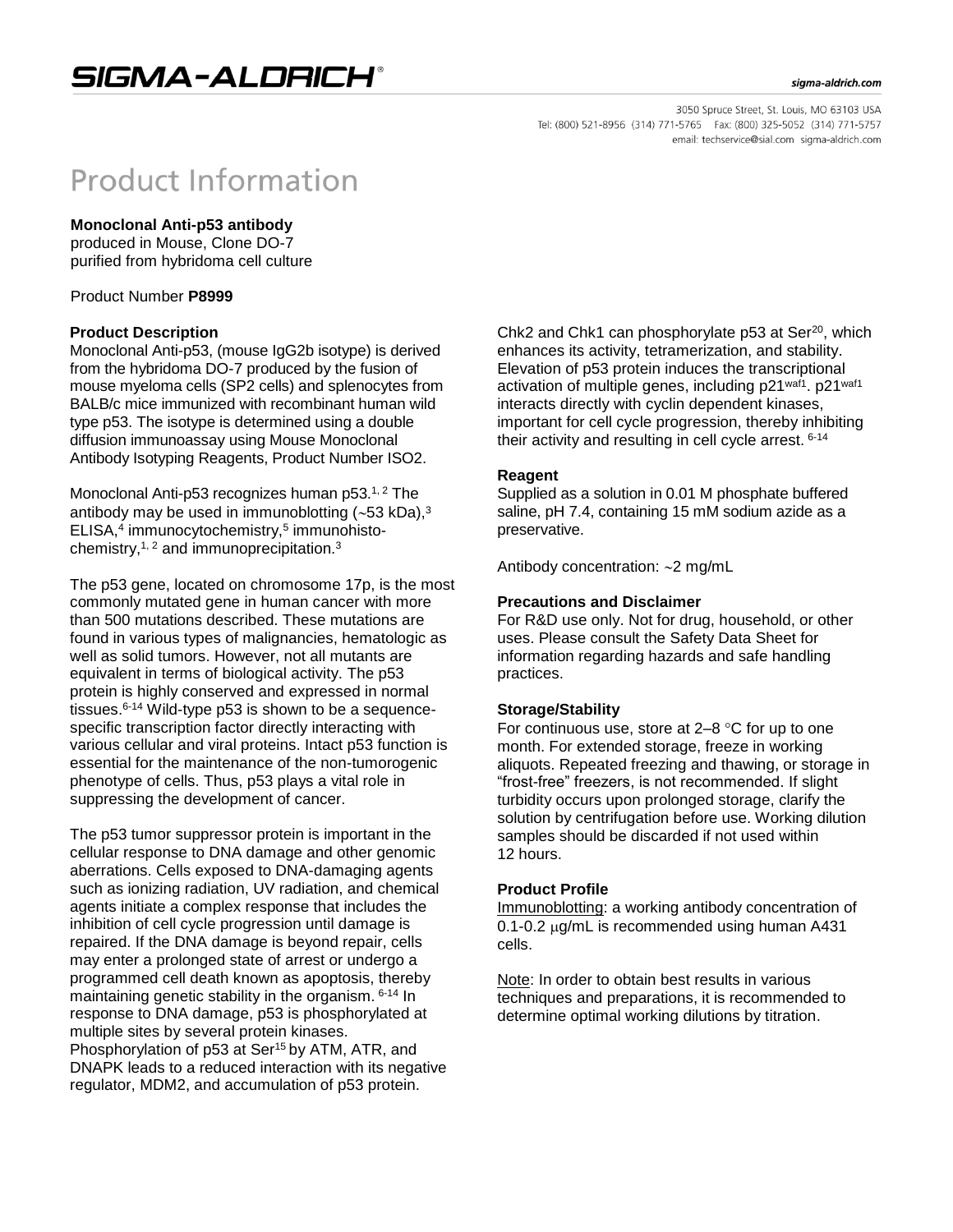#### sigma-aldrich.com

3050 Spruce Street, St. Louis, MO 63103 USA Tel: (800) 521-8956 (314) 771-5765 Fax: (800) 325-5052 (314) 771-5757 email: techservice@sial.com sigma-aldrich.com

# **Product Information**

## **Monoclonal Anti-p53 antibody**

produced in Mouse, Clone DO-7 purified from hybridoma cell culture

Product Number **P8999**

#### **Product Description**

Monoclonal Anti-p53, (mouse IgG2b isotype) is derived from the hybridoma DO-7 produced by the fusion of mouse myeloma cells (SP2 cells) and splenocytes from BALB/c mice immunized with recombinant human wild type p53. The isotype is determined using a double diffusion immunoassay using Mouse Monoclonal Antibody Isotyping Reagents, Product Number ISO2.

Monoclonal Anti-p53 recognizes human p53.<sup>1, 2</sup> The antibody may be used in immunoblotting  $(-53 \text{ kDa})$ ,<sup>3</sup> ELISA,<sup>4</sup> immunocytochemistry,<sup>5</sup> immunohistochemistry, $1, 2$  and immunoprecipitation.<sup>3</sup>

The p53 gene, located on chromosome 17p, is the most commonly mutated gene in human cancer with more than 500 mutations described. These mutations are found in various types of malignancies, hematologic as well as solid tumors. However, not all mutants are equivalent in terms of biological activity. The p53 protein is highly conserved and expressed in normal tissues.6-14 Wild-type p53 is shown to be a sequencespecific transcription factor directly interacting with various cellular and viral proteins. Intact p53 function is essential for the maintenance of the non-tumorogenic phenotype of cells. Thus, p53 plays a vital role in suppressing the development of cancer.

The p53 tumor suppressor protein is important in the cellular response to DNA damage and other genomic aberrations. Cells exposed to DNA-damaging agents such as ionizing radiation, UV radiation, and chemical agents initiate a complex response that includes the inhibition of cell cycle progression until damage is repaired. If the DNA damage is beyond repair, cells may enter a prolonged state of arrest or undergo a programmed cell death known as apoptosis, thereby maintaining genetic stability in the organism. 6-14 In response to DNA damage, p53 is phosphorylated at multiple sites by several protein kinases. Phosphorylation of p53 at Ser<sup>15</sup> by ATM, ATR, and DNAPK leads to a reduced interaction with its negative regulator, MDM2, and accumulation of p53 protein.

Chk2 and Chk1 can phosphorylate p53 at Ser<sup>20</sup>, which enhances its activity, tetramerization, and stability. Elevation of p53 protein induces the transcriptional activation of multiple genes, including p21waf1. p21waf1 interacts directly with cyclin dependent kinases, important for cell cycle progression, thereby inhibiting their activity and resulting in cell cycle arrest. 6-14

#### **Reagent**

Supplied as a solution in 0.01 M phosphate buffered saline, pH 7.4, containing 15 mM sodium azide as a preservative.

Antibody concentration:  $\sim$ 2 mg/mL

#### **Precautions and Disclaimer**

For R&D use only. Not for drug, household, or other uses. Please consult the Safety Data Sheet for information regarding hazards and safe handling practices.

## **Storage/Stability**

For continuous use, store at  $2-8$  °C for up to one month. For extended storage, freeze in working aliquots. Repeated freezing and thawing, or storage in "frost-free" freezers, is not recommended. If slight turbidity occurs upon prolonged storage, clarify the solution by centrifugation before use. Working dilution samples should be discarded if not used within 12 hours.

## **Product Profile**

Immunoblotting: a working antibody concentration of  $0.1$ -0.2  $\mu$ g/mL is recommended using human A431 cells.

Note: In order to obtain best results in various techniques and preparations, it is recommended to determine optimal working dilutions by titration.